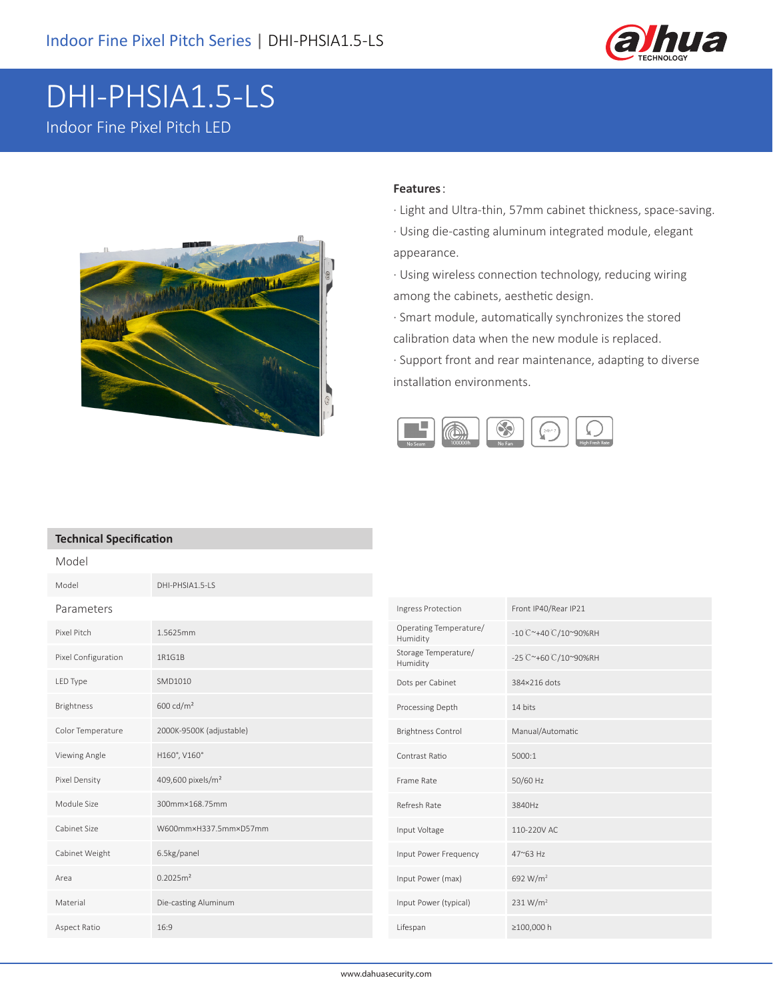

## DHI-PHSIA1.5-LS Indoor Fine Pixel Pitch LED



## **Features**:

- · Light and Ultra-thin, 57mm cabinet thickness, space-saving.
- · Using die-casting aluminum integrated module, elegant appearance.

· Using wireless connection technology, reducing wiring among the cabinets, aesthetic design.

· Smart module, automatically synchronizes the stored calibration data when the new module is replaced.

· Support front and rear maintenance, adapting to diverse installation environments.



## **Technical Specification**

| Model               |                               |                                    |                      |
|---------------------|-------------------------------|------------------------------------|----------------------|
| Model               | DHI-PHSIA1.5-LS               |                                    |                      |
| Parameters          |                               | Ingress Protection                 | Front IP40/Rear IP21 |
| Pixel Pitch         | 1.5625mm                      | Operating Temperature/<br>Humidity | -10 C~+40 C/10~90%RH |
| Pixel Configuration | 1R1G1B                        | Storage Temperature/<br>Humidity   | -25 C~+60 C/10~90%RH |
| LED Type            | SMD1010                       | Dots per Cabinet                   | 384×216 dots         |
| <b>Brightness</b>   | 600 cd/m <sup>2</sup>         | Processing Depth                   | 14 bits              |
| Color Temperature   | 2000K-9500K (adjustable)      | <b>Brightness Control</b>          | Manual/Automatic     |
| Viewing Angle       | H160°, V160°                  | Contrast Ratio                     | 5000:1               |
| Pixel Density       | 409,600 pixels/m <sup>2</sup> | Frame Rate                         | 50/60 Hz             |
| Module Size         | 300mm×168.75mm                | Refresh Rate                       | 3840Hz               |
| Cabinet Size        | W600mm×H337.5mm×D57mm         | Input Voltage                      | 110-220V AC          |
| Cabinet Weight      | 6.5kg/panel                   | Input Power Frequency              | 47~63 Hz             |
| Area                | 0.2025m <sup>2</sup>          | Input Power (max)                  | 692 W/m <sup>2</sup> |
| Material            | Die-casting Aluminum          | Input Power (typical)              | 231 W/m <sup>2</sup> |
| Aspect Ratio        | 16:9                          | Lifespan                           | ≥100,000 h           |